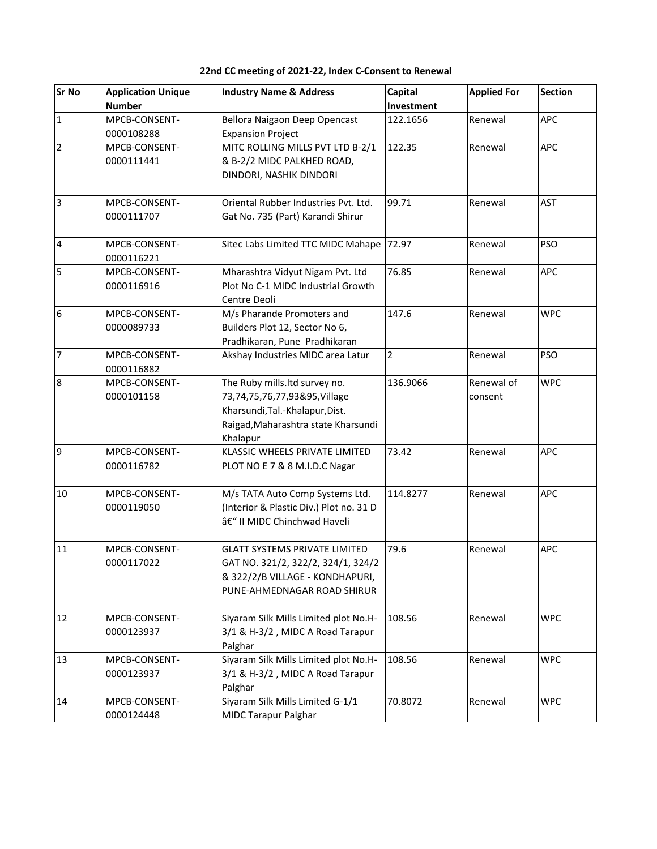| <b>Sr No</b>   | <b>Application Unique</b> | <b>Industry Name &amp; Address</b>      | Capital        | <b>Applied For</b> | <b>Section</b> |
|----------------|---------------------------|-----------------------------------------|----------------|--------------------|----------------|
|                | <b>Number</b>             |                                         | Investment     |                    |                |
| $\mathbf{1}$   | MPCB-CONSENT-             | Bellora Naigaon Deep Opencast           | 122.1656       | Renewal            | <b>APC</b>     |
|                | 0000108288                | <b>Expansion Project</b>                |                |                    |                |
| $\overline{2}$ | MPCB-CONSENT-             | MITC ROLLING MILLS PVT LTD B-2/1        | 122.35         | Renewal            | <b>APC</b>     |
|                | 0000111441                | & B-2/2 MIDC PALKHED ROAD,              |                |                    |                |
|                |                           | DINDORI, NASHIK DINDORI                 |                |                    |                |
| $\overline{3}$ | MPCB-CONSENT-             | Oriental Rubber Industries Pvt. Ltd.    | 99.71          | Renewal            | <b>AST</b>     |
|                | 0000111707                | Gat No. 735 (Part) Karandi Shirur       |                |                    |                |
| $\overline{4}$ | MPCB-CONSENT-             | Sitec Labs Limited TTC MIDC Mahape      | 72.97          | Renewal            | <b>PSO</b>     |
|                | 0000116221                |                                         |                |                    |                |
| 5              | MPCB-CONSENT-             | Mharashtra Vidyut Nigam Pvt. Ltd        | 76.85          | Renewal            | <b>APC</b>     |
|                | 0000116916                | Plot No C-1 MIDC Industrial Growth      |                |                    |                |
|                |                           | Centre Deoli                            |                |                    |                |
| 6              | MPCB-CONSENT-             | M/s Pharande Promoters and              | 147.6          | Renewal            | <b>WPC</b>     |
|                | 0000089733                | Builders Plot 12, Sector No 6,          |                |                    |                |
|                |                           | Pradhikaran, Pune Pradhikaran           |                |                    |                |
| $\overline{7}$ | MPCB-CONSENT-             | Akshay Industries MIDC area Latur       | $\overline{2}$ | Renewal            | <b>PSO</b>     |
|                | 0000116882                |                                         |                |                    |                |
| $\overline{8}$ | MPCB-CONSENT-             | The Ruby mills. Itd survey no.          | 136.9066       | Renewal of         | <b>WPC</b>     |
|                | 0000101158                | 73,74,75,76,77,93&95,Village            |                | consent            |                |
|                |                           | Kharsundi, Tal.-Khalapur, Dist.         |                |                    |                |
|                |                           | Raigad, Maharashtra state Kharsundi     |                |                    |                |
|                |                           | Khalapur                                |                |                    |                |
| 9              | MPCB-CONSENT-             | KLASSIC WHEELS PRIVATE LIMITED          | 73.42          | Renewal            | <b>APC</b>     |
|                | 0000116782                | PLOT NO E 7 & 8 M.I.D.C Nagar           |                |                    |                |
| 10             | MPCB-CONSENT-             | M/s TATA Auto Comp Systems Ltd.         | 114.8277       | Renewal            | <b>APC</b>     |
|                | 0000119050                | (Interior & Plastic Div.) Plot no. 31 D |                |                    |                |
|                |                           | â€" II MIDC Chinchwad Haveli            |                |                    |                |
| 11             | MPCB-CONSENT-             | <b>GLATT SYSTEMS PRIVATE LIMITED</b>    | 79.6           | Renewal            | <b>APC</b>     |
|                | 0000117022                | GAT NO. 321/2, 322/2, 324/1, 324/2      |                |                    |                |
|                |                           | & 322/2/B VILLAGE - KONDHAPURI,         |                |                    |                |
|                |                           | PUNE-AHMEDNAGAR ROAD SHIRUR             |                |                    |                |
|                |                           |                                         |                |                    |                |
| 12             | MPCB-CONSENT-             | Siyaram Silk Mills Limited plot No.H-   | 108.56         | Renewal            | <b>WPC</b>     |
|                | 0000123937                | 3/1 & H-3/2, MIDC A Road Tarapur        |                |                    |                |
|                |                           | Palghar                                 |                |                    |                |
| 13             | MPCB-CONSENT-             | Siyaram Silk Mills Limited plot No.H-   | 108.56         | Renewal            | <b>WPC</b>     |
|                | 0000123937                | 3/1 & H-3/2, MIDC A Road Tarapur        |                |                    |                |
|                |                           | Palghar                                 |                |                    |                |
| 14             | MPCB-CONSENT-             | Siyaram Silk Mills Limited G-1/1        | 70.8072        | Renewal            | <b>WPC</b>     |
|                | 0000124448                | <b>MIDC Tarapur Palghar</b>             |                |                    |                |

## **22nd CC meeting of 2021-22, Index C-Consent to Renewal**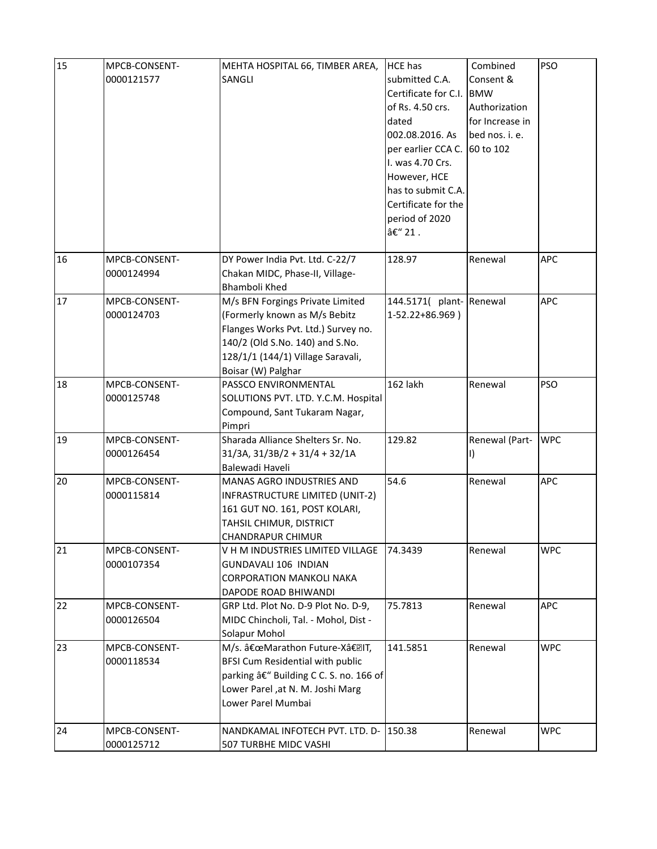| 15 | MPCB-CONSENT- | MEHTA HOSPITAL 66, TIMBER AREA,                        | <b>HCE has</b>           | Combined        | <b>PSO</b> |
|----|---------------|--------------------------------------------------------|--------------------------|-----------------|------------|
|    | 0000121577    | SANGLI                                                 | submitted C.A.           | Consent &       |            |
|    |               |                                                        | Certificate for C.I.     | <b>BMW</b>      |            |
|    |               |                                                        | of Rs. 4.50 crs.         | Authorization   |            |
|    |               |                                                        | dated                    | for Increase in |            |
|    |               |                                                        | 002.08.2016. As          | bed nos. i. e.  |            |
|    |               |                                                        | per earlier CCA C.       | 60 to 102       |            |
|    |               |                                                        | I. was 4.70 Crs.         |                 |            |
|    |               |                                                        | However, HCE             |                 |            |
|    |               |                                                        | has to submit C.A.       |                 |            |
|    |               |                                                        | Certificate for the      |                 |            |
|    |               |                                                        |                          |                 |            |
|    |               |                                                        | period of 2020           |                 |            |
|    |               |                                                        | – 21.                    |                 |            |
| 16 | MPCB-CONSENT- | DY Power India Pvt. Ltd. C-22/7                        | 128.97                   | Renewal         | <b>APC</b> |
|    | 0000124994    | Chakan MIDC, Phase-II, Village-                        |                          |                 |            |
|    |               | Bhamboli Khed                                          |                          |                 |            |
| 17 | MPCB-CONSENT- | M/s BFN Forgings Private Limited                       | 144.5171( plant- Renewal |                 | <b>APC</b> |
|    | 0000124703    | (Formerly known as M/s Bebitz                          | 1-52.22+86.969)          |                 |            |
|    |               | Flanges Works Pvt. Ltd.) Survey no.                    |                          |                 |            |
|    |               | 140/2 (Old S.No. 140) and S.No.                        |                          |                 |            |
|    |               | 128/1/1 (144/1) Village Saravali,                      |                          |                 |            |
|    |               | Boisar (W) Palghar                                     |                          |                 |            |
| 18 | MPCB-CONSENT- | PASSCO ENVIRONMENTAL                                   | 162 lakh                 | Renewal         | <b>PSO</b> |
|    | 0000125748    | SOLUTIONS PVT. LTD. Y.C.M. Hospital                    |                          |                 |            |
|    |               | Compound, Sant Tukaram Nagar,                          |                          |                 |            |
|    |               | Pimpri                                                 |                          |                 |            |
| 19 | MPCB-CONSENT- | Sharada Alliance Shelters Sr. No.                      | 129.82                   | Renewal (Part-  | <b>WPC</b> |
|    | 0000126454    | $31/3A$ , $31/3B/2 + 31/4 + 32/1A$                     |                          | 1)              |            |
|    |               | Balewadi Haveli                                        |                          |                 |            |
| 20 | MPCB-CONSENT- | MANAS AGRO INDUSTRIES AND                              | 54.6                     | Renewal         | <b>APC</b> |
|    | 0000115814    | INFRASTRUCTURE LIMITED (UNIT-2)                        |                          |                 |            |
|    |               | 161 GUT NO. 161, POST KOLARI,                          |                          |                 |            |
|    |               | TAHSIL CHIMUR, DISTRICT                                |                          |                 |            |
|    |               | CHANDRAPUR CHIMUR                                      |                          |                 |            |
| 21 | MPCB-CONSENT- | V H M INDUSTRIES LIMITED VILLAGE                       | 74.3439                  | Renewal         | <b>WPC</b> |
|    | 0000107354    | GUNDAVALI 106 INDIAN                                   |                          |                 |            |
|    |               | <b>CORPORATION MANKOLI NAKA</b>                        |                          |                 |            |
|    |               | DAPODE ROAD BHIWANDI                                   |                          |                 |            |
| 22 | MPCB-CONSENT- | GRP Ltd. Plot No. D-9 Plot No. D-9,                    | 75.7813                  | Renewal         | <b>APC</b> |
|    | 0000126504    | MIDC Chincholi, Tal. - Mohol, Dist -                   |                          |                 |            |
|    |               | Solapur Mohol                                          |                          |                 |            |
| 23 | MPCB-CONSENT- | M/s. "Marathon Future-X― IT,                           | 141.5851                 | Renewal         | <b>WPC</b> |
|    | 0000118534    | BFSI Cum Residential with public                       |                          |                 |            |
|    |               | parking â€" Building C C. S. no. 166 of                |                          |                 |            |
|    |               |                                                        |                          |                 |            |
|    |               | Lower Parel, at N. M. Joshi Marg<br>Lower Parel Mumbai |                          |                 |            |
|    |               |                                                        |                          |                 |            |
| 24 | MPCB-CONSENT- | NANDKAMAL INFOTECH PVT. LTD. D-                        | 150.38                   | Renewal         | <b>WPC</b> |
|    | 0000125712    | 507 TURBHE MIDC VASHI                                  |                          |                 |            |